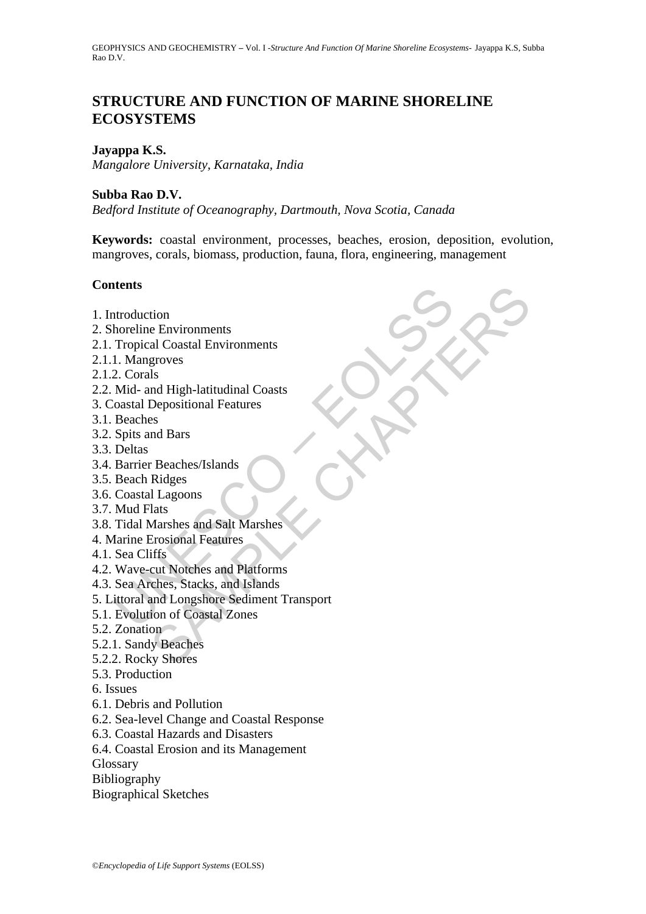# **STRUCTURE AND FUNCTION OF MARINE SHORELINE ECOSYSTEMS**

## **Jayappa K.S.**

*Mangalore University, Karnataka, India* 

#### **Subba Rao D.V.**

*Bedford Institute of Oceanography, Dartmouth, Nova Scotia, Canada* 

**Keywords:** coastal environment, processes, beaches, erosion, deposition, evolution, mangroves, corals, biomass, production, fauna, flora, engineering, management

## **Contents**

- 1. Introduction
- 2. Shoreline Environments
- 2.1. Tropical Coastal Environments
- 2.1.1. Mangroves
- 2.1.2. Corals
- 2.2. Mid- and High-latitudinal Coasts
- 3. Coastal Depositional Features
- 3.1. Beaches
- 3.2. Spits and Bars
- 3.3. Deltas
- 3.4. Barrier Beaches/Islands
- 3.5. Beach Ridges
- 3.6. Coastal Lagoons
- 3.7. Mud Flats
- 3.8. Tidal Marshes and Salt Marshes
- 4. Marine Erosional Features
- 4.1. Sea Cliffs
- 4.2. Wave-cut Notches and Platforms
- 4.3. Sea Arches, Stacks, and Islands
- ntroduction<br>
horeline Environments<br>
Tropical Coastal Environments<br>
1. Mangroves<br>
2. Corals<br>
Mid- and High-latitudinal Coasts<br>
oastal Depositional Features<br>
Beaches<br>
Spits and Bars<br>
Deltas<br>
Evaches Spits<br>
Sparier Beaches/Is tion<br>e Environments<br>al Coastal Environments<br>groves<br>ls<br>de Migh-latitudinal Coasts<br>es<br>the data Bars<br>and Bars<br>Ridges<br>in a Bars<br>Expositional Features<br>Trosional Features<br>in Standard Salt Marshes<br>Trosional Features<br>in Stack S. S 5. Littoral and Longshore Sediment Transport
- 5.1. Evolution of Coastal Zones
- 5.2. Zonation
- 5.2.1. Sandy Beaches
- 5.2.2. Rocky Shores
- 5.3. Production
- 6. Issues
- 6.1. Debris and Pollution
- 6.2. Sea-level Change and Coastal Response
- 6.3. Coastal Hazards and Disasters
- 6.4. Coastal Erosion and its Management
- **Glossary**
- Bibliography
- Biographical Sketches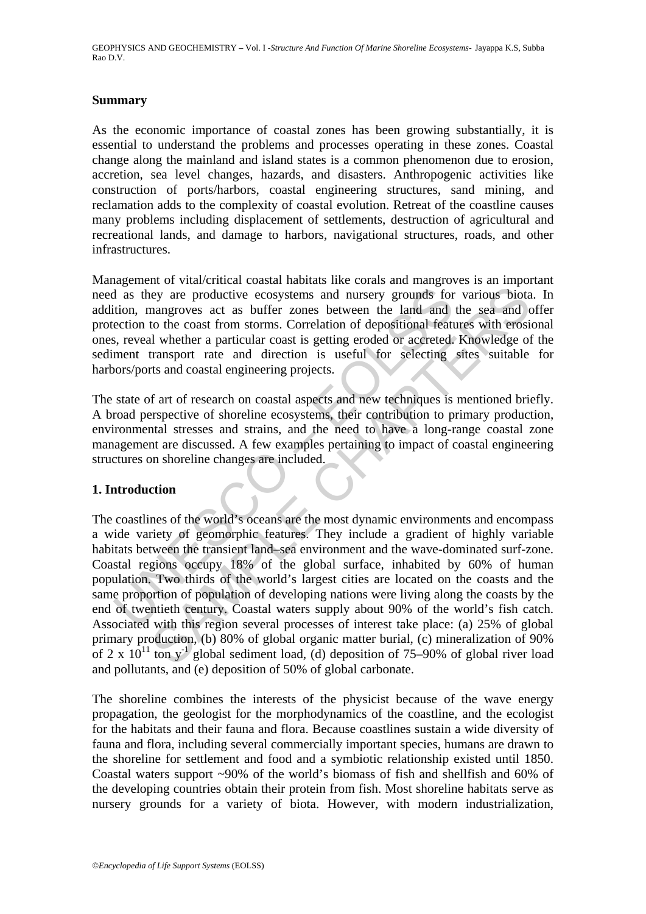## **Summary**

As the economic importance of coastal zones has been growing substantially, it is essential to understand the problems and processes operating in these zones. Coastal change along the mainland and island states is a common phenomenon due to erosion, accretion, sea level changes, hazards, and disasters. Anthropogenic activities like construction of ports/harbors, coastal engineering structures, sand mining, and reclamation adds to the complexity of coastal evolution. Retreat of the coastline causes many problems including displacement of settlements, destruction of agricultural and recreational lands, and damage to harbors, navigational structures, roads, and other infrastructures.

Management of vital/critical coastal habitats like corals and mangroves is an important need as they are productive ecosystems and nursery grounds for various biota. In addition, mangroves act as buffer zones between the land and the sea and offer protection to the coast from storms. Correlation of depositional features with erosional ones, reveal whether a particular coast is getting eroded or accreted. Knowledge of the sediment transport rate and direction is useful for selecting sites suitable for harbors/ports and coastal engineering projects.

The state of art of research on coastal aspects and new techniques is mentioned briefly. A broad perspective of shoreline ecosystems, their contribution to primary production, environmental stresses and strains, and the need to have a long-range coastal zone management are discussed. A few examples pertaining to impact of coastal engineering structures on shoreline changes are included.

## **1. Introduction**

I as they are productive ecosystems and nursery grounds for<br>tion, mangroves act as buffer zones between the land and<br>ection to the coast from storms. Correlation of depositional feat<br>ment transport rate and direction is us rey are productive ecosystems and nursery grounds for various biotanagroves act as buffer zones between the land and the sea and to the coast from storm of corelation of depositional features with roosing different and ul The coastlines of the world's oceans are the most dynamic environments and encompass a wide variety of geomorphic features. They include a gradient of highly variable habitats between the transient land–sea environment and the wave-dominated surf-zone. Coastal regions occupy 18% of the global surface, inhabited by 60% of human population. Two thirds of the world's largest cities are located on the coasts and the same proportion of population of developing nations were living along the coasts by the end of twentieth century. Coastal waters supply about 90% of the world's fish catch. Associated with this region several processes of interest take place: (a) 25% of global primary production, (b) 80% of global organic matter burial, (c) mineralization of 90% of 2 x  $10^{11}$  ton y<sup>-1</sup> global sediment load, (d) deposition of 75–90% of global river load and pollutants, and (e) deposition of 50% of global carbonate.

The shoreline combines the interests of the physicist because of the wave energy propagation, the geologist for the morphodynamics of the coastline, and the ecologist for the habitats and their fauna and flora. Because coastlines sustain a wide diversity of fauna and flora, including several commercially important species, humans are drawn to the shoreline for settlement and food and a symbiotic relationship existed until 1850. Coastal waters support ~90% of the world's biomass of fish and shellfish and 60% of the developing countries obtain their protein from fish. Most shoreline habitats serve as nursery grounds for a variety of biota. However, with modern industrialization,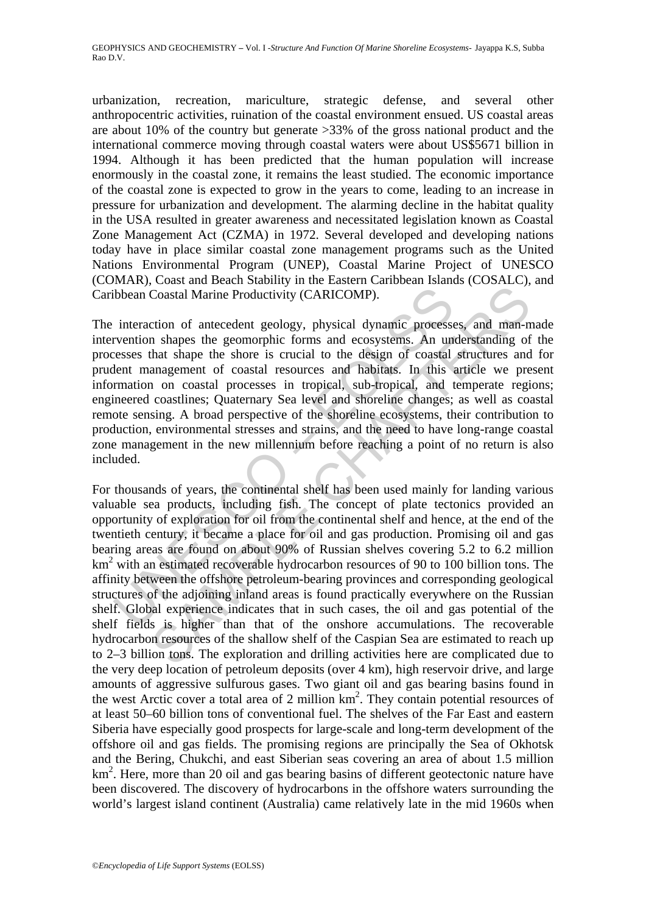urbanization, recreation, mariculture, strategic defense, and several other anthropocentric activities, ruination of the coastal environment ensued. US coastal areas are about 10% of the country but generate >33% of the gross national product and the international commerce moving through coastal waters were about US\$5671 billion in 1994. Although it has been predicted that the human population will increase enormously in the coastal zone, it remains the least studied. The economic importance of the coastal zone is expected to grow in the years to come, leading to an increase in pressure for urbanization and development. The alarming decline in the habitat quality in the USA resulted in greater awareness and necessitated legislation known as Coastal Zone Management Act (CZMA) in 1972. Several developed and developing nations today have in place similar coastal zone management programs such as the United Nations Environmental Program (UNEP), Coastal Marine Project of UNESCO (COMAR), Coast and Beach Stability in the Eastern Caribbean Islands (COSALC), and Caribbean Coastal Marine Productivity (CARICOMP).

ibbean Coastal Marine Productivity (CARICOMP).<br>
interaction of antecedent geology, physical dynamic processes<br>
revention shapes the geomorphic forms and ecosystems. An universition shapes the geomorphic forms and coasystem The interaction of antecedent geology, physical dynamic processes, and man-made intervention shapes the geomorphic forms and ecosystems. An understanding of the processes that shape the shore is crucial to the design of coastal structures and for prudent management of coastal resources and habitats. In this article we present information on coastal processes in tropical, sub-tropical, and temperate regions; engineered coastlines; Quaternary Sea level and shoreline changes; as well as coastal remote sensing. A broad perspective of the shoreline ecosystems, their contribution to production, environmental stresses and strains, and the need to have long-range coastal zone management in the new millennium before reaching a point of no return is also included.

Coastal Marine Productivity (CARICOMP).<br>Coastal Marine Productivity (CARICOMP).<br>ction of antecedent geology, physical dynamic processes, and man-<br>n shapes the geomorphic forms and ecosystems. An understanding of<br>that shape For thousands of years, the continental shelf has been used mainly for landing various valuable sea products, including fish. The concept of plate tectonics provided an opportunity of exploration for oil from the continental shelf and hence, at the end of the twentieth century, it became a place for oil and gas production. Promising oil and gas bearing areas are found on about 90% of Russian shelves covering 5.2 to 6.2 million km<sup>2</sup> with an estimated recoverable hydrocarbon resources of 90 to 100 billion tons. The affinity between the offshore petroleum-bearing provinces and corresponding geological structures of the adjoining inland areas is found practically everywhere on the Russian shelf. Global experience indicates that in such cases, the oil and gas potential of the shelf fields is higher than that of the onshore accumulations. The recoverable hydrocarbon resources of the shallow shelf of the Caspian Sea are estimated to reach up to 2–3 billion tons. The exploration and drilling activities here are complicated due to the very deep location of petroleum deposits (over 4 km), high reservoir drive, and large amounts of aggressive sulfurous gases. Two giant oil and gas bearing basins found in the west Arctic cover a total area of 2 million km<sup>2</sup>. They contain potential resources of at least 50–60 billion tons of conventional fuel. The shelves of the Far East and eastern Siberia have especially good prospects for large-scale and long-term development of the offshore oil and gas fields. The promising regions are principally the Sea of Okhotsk and the Bering, Chukchi, and east Siberian seas covering an area of about 1.5 million km<sup>2</sup>. Here, more than 20 oil and gas bearing basins of different geotectonic nature have been discovered. The discovery of hydrocarbons in the offshore waters surrounding the world's largest island continent (Australia) came relatively late in the mid 1960s when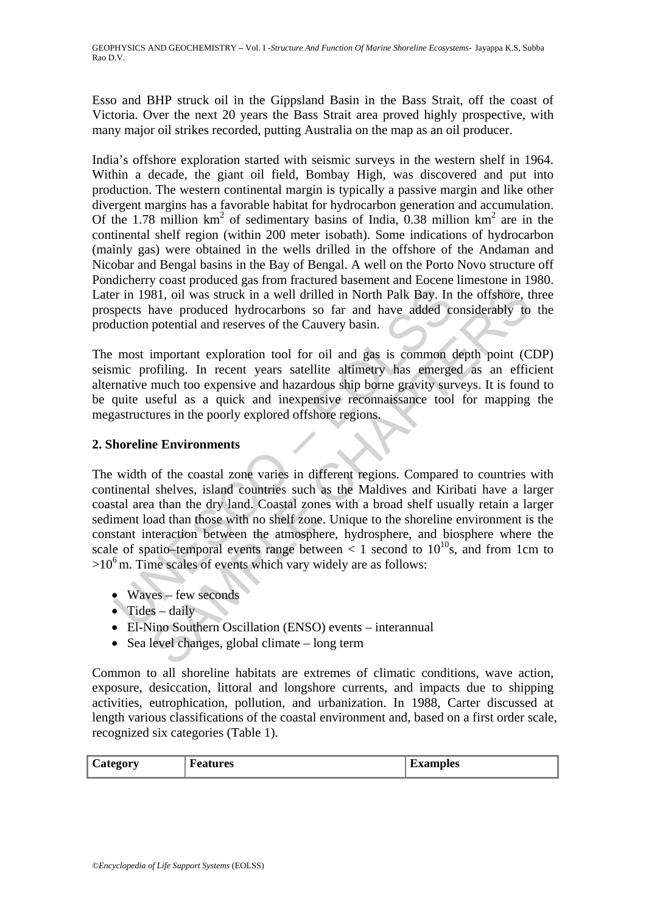Esso and BHP struck oil in the Gippsland Basin in the Bass Strait, off the coast of Victoria. Over the next 20 years the Bass Strait area proved highly prospective, with many major oil strikes recorded, putting Australia on the map as an oil producer.

India's offshore exploration started with seismic surveys in the western shelf in 1964. Within a decade, the giant oil field, Bombay High, was discovered and put into production. The western continental margin is typically a passive margin and like other divergent margins has a favorable habitat for hydrocarbon generation and accumulation. Of the 1.78 million  $km^2$  of sedimentary basins of India, 0.38 million  $km^2$  are in the continental shelf region (within 200 meter isobath). Some indications of hydrocarbon (mainly gas) were obtained in the wells drilled in the offshore of the Andaman and Nicobar and Bengal basins in the Bay of Bengal. A well on the Porto Novo structure off Pondicherry coast produced gas from fractured basement and Eocene limestone in 1980. Later in 1981, oil was struck in a well drilled in North Palk Bay. In the offshore, three prospects have produced hydrocarbons so far and have added considerably to the production potential and reserves of the Cauvery basin.

The most important exploration tool for oil and gas is common depth point (CDP) seismic profiling. In recent years satellite altimetry has emerged as an efficient alternative much too expensive and hazardous ship borne gravity surveys. It is found to be quite useful as a quick and inexpensive reconnaissance tool for mapping the megastructures in the poorly explored offshore regions.

## **2. Shoreline Environments**

For in 1981, oil was struck in a well drilled in North Palk Bay. In<br>pects have produced hydrocarbons so far and have added coluction potential and reserves of the Cauvery basin.<br>most important exploration tool for oil and 81, oil was struck in a well drilled in North Palk Bay. In the offshore, thave produced hydrocarbons so far and have added considerably to potential and reserves of the Cauvery basin.<br>
important exploration tool for oil a The width of the coastal zone varies in different regions. Compared to countries with continental shelves, island countries such as the Maldives and Kiribati have a larger coastal area than the dry land. Coastal zones with a broad shelf usually retain a larger sediment load than those with no shelf zone. Unique to the shoreline environment is the constant interaction between the atmosphere, hydrosphere, and biosphere where the scale of spatio–temporal events range between  $< 1$  second to  $10^{10}$ s, and from 1cm to  $>10^6$  m. Time scales of events which vary widely are as follows:

- Waves few seconds
- Tides daily
- El-Nino Southern Oscillation (ENSO) events interannual
- Sea level changes, global climate long term

Common to all shoreline habitats are extremes of climatic conditions, wave action, exposure, desiccation, littoral and longshore currents, and impacts due to shipping activities, eutrophication, pollution, and urbanization. In 1988, Carter discussed at length various classifications of the coastal environment and, based on a first order scale, recognized six categories (Table 1).

| $\sim$<br>-onr<br>the contract of the contract of | atures<br>¬ е. | UIES * |
|---------------------------------------------------|----------------|--------|
|---------------------------------------------------|----------------|--------|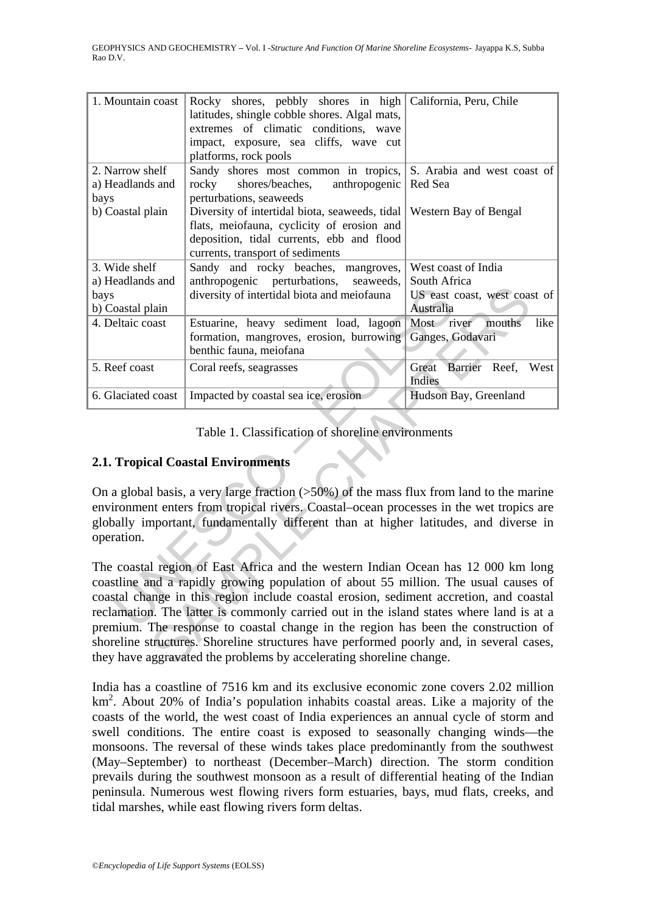| 1. Mountain coast                                                                                                                                                                                                                                                                                                                                                                                                                                                                                                                                                                                                     | Rocky shores, pebbly shores in high California, Peru, Chile<br>latitudes, shingle cobble shores. Algal mats,<br>extremes of climatic conditions, wave<br>impact, exposure, sea cliffs, wave cut<br>platforms, rock pools |                                    |  |  |  |  |
|-----------------------------------------------------------------------------------------------------------------------------------------------------------------------------------------------------------------------------------------------------------------------------------------------------------------------------------------------------------------------------------------------------------------------------------------------------------------------------------------------------------------------------------------------------------------------------------------------------------------------|--------------------------------------------------------------------------------------------------------------------------------------------------------------------------------------------------------------------------|------------------------------------|--|--|--|--|
| 2. Narrow shelf                                                                                                                                                                                                                                                                                                                                                                                                                                                                                                                                                                                                       | Sandy shores most common in tropics,                                                                                                                                                                                     | S. Arabia and west coast of        |  |  |  |  |
| a) Headlands and<br>bays                                                                                                                                                                                                                                                                                                                                                                                                                                                                                                                                                                                              | shores/beaches,<br>anthropogenic<br>rocky<br>perturbations, seaweeds                                                                                                                                                     | Red Sea                            |  |  |  |  |
| b) Coastal plain                                                                                                                                                                                                                                                                                                                                                                                                                                                                                                                                                                                                      | Diversity of intertidal biota, seaweeds, tidal                                                                                                                                                                           | Western Bay of Bengal              |  |  |  |  |
|                                                                                                                                                                                                                                                                                                                                                                                                                                                                                                                                                                                                                       | flats, meiofauna, cyclicity of erosion and                                                                                                                                                                               |                                    |  |  |  |  |
|                                                                                                                                                                                                                                                                                                                                                                                                                                                                                                                                                                                                                       | deposition, tidal currents, ebb and flood                                                                                                                                                                                |                                    |  |  |  |  |
|                                                                                                                                                                                                                                                                                                                                                                                                                                                                                                                                                                                                                       | currents, transport of sediments                                                                                                                                                                                         |                                    |  |  |  |  |
| 3. Wide shelf                                                                                                                                                                                                                                                                                                                                                                                                                                                                                                                                                                                                         | Sandy and rocky beaches, mangroves,                                                                                                                                                                                      | West coast of India                |  |  |  |  |
| a) Headlands and                                                                                                                                                                                                                                                                                                                                                                                                                                                                                                                                                                                                      | anthropogenic perturbations,<br>seaweeds,                                                                                                                                                                                | South Africa                       |  |  |  |  |
| bays                                                                                                                                                                                                                                                                                                                                                                                                                                                                                                                                                                                                                  | diversity of intertidal biota and meiofauna                                                                                                                                                                              | US east coast, west coast of       |  |  |  |  |
| b) Coastal plain                                                                                                                                                                                                                                                                                                                                                                                                                                                                                                                                                                                                      |                                                                                                                                                                                                                          | Australia                          |  |  |  |  |
| 4. Deltaic coast                                                                                                                                                                                                                                                                                                                                                                                                                                                                                                                                                                                                      | Estuarine, heavy sediment load, lagoon                                                                                                                                                                                   | Most river<br>like<br>mouths       |  |  |  |  |
|                                                                                                                                                                                                                                                                                                                                                                                                                                                                                                                                                                                                                       | formation, mangroves, erosion, burrowing<br>benthic fauna, meiofana                                                                                                                                                      | Ganges, Godavari                   |  |  |  |  |
| 5. Reef coast                                                                                                                                                                                                                                                                                                                                                                                                                                                                                                                                                                                                         |                                                                                                                                                                                                                          |                                    |  |  |  |  |
|                                                                                                                                                                                                                                                                                                                                                                                                                                                                                                                                                                                                                       | Coral reefs, seagrasses                                                                                                                                                                                                  | Great Barrier Reef, West<br>Indies |  |  |  |  |
| 6. Glaciated coast                                                                                                                                                                                                                                                                                                                                                                                                                                                                                                                                                                                                    | Impacted by coastal sea ice, erosion                                                                                                                                                                                     | Hudson Bay, Greenland              |  |  |  |  |
| Table 1. Classification of shoreline environments<br><b>2.1. Tropical Coastal Environments</b><br>On a global basis, a very large fraction $(50\%)$ of the mass flux from land to the marine<br>environment enters from tropical rivers. Coastal–ocean processes in the wet tropics are                                                                                                                                                                                                                                                                                                                               |                                                                                                                                                                                                                          |                                    |  |  |  |  |
| globally important, fundamentally different than at higher latitudes, and diverse in<br>operation.                                                                                                                                                                                                                                                                                                                                                                                                                                                                                                                    |                                                                                                                                                                                                                          |                                    |  |  |  |  |
| The coastal region of East Africa and the western Indian Ocean has 12 000 km long<br>coastline and a rapidly growing population of about 55 million. The usual causes of<br>coastal change in this region include coastal erosion, sediment accretion, and coastal<br>reclamation. The latter is commonly carried out in the island states where land is at a<br>premium. The response to coastal change in the region has been the construction of<br>shoreline structures. Shoreline structures have performed poorly and, in several cases,<br>they have aggravated the problems by accelerating shoreline change. |                                                                                                                                                                                                                          |                                    |  |  |  |  |

## Table 1. Classification of shoreline environments

## **2.1. Tropical Coastal Environments**

India has a coastline of 7516 km and its exclusive economic zone covers 2.02 million km<sup>2</sup>. About 20% of India's population inhabits coastal areas. Like a majority of the coasts of the world, the west coast of India experiences an annual cycle of storm and swell conditions. The entire coast is exposed to seasonally changing winds—the monsoons. The reversal of these winds takes place predominantly from the southwest (May–September) to northeast (December–March) direction. The storm condition prevails during the southwest monsoon as a result of differential heating of the Indian peninsula. Numerous west flowing rivers form estuaries, bays, mud flats, creeks, and tidal marshes, while east flowing rivers form deltas.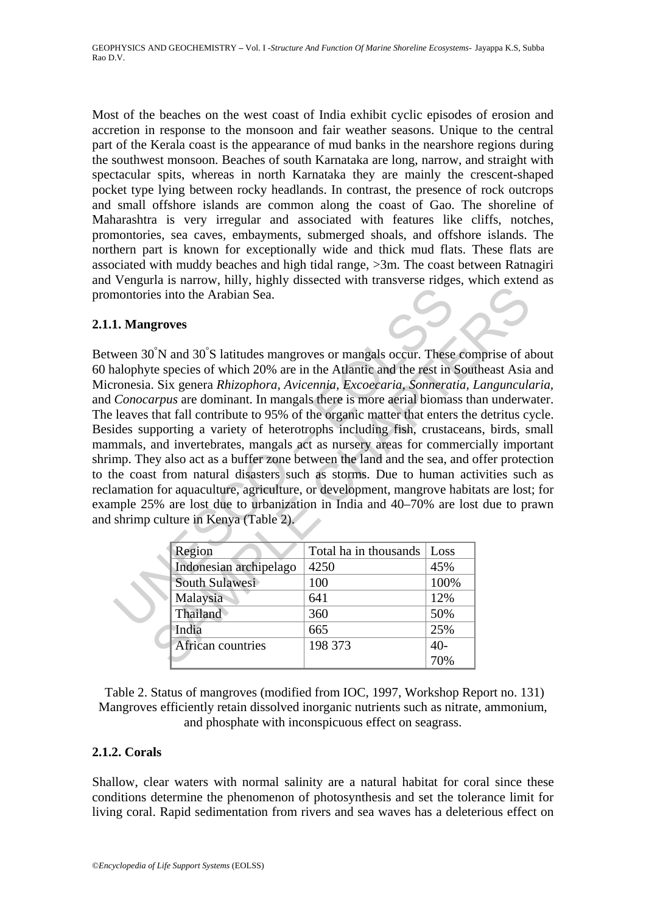Most of the beaches on the west coast of India exhibit cyclic episodes of erosion and accretion in response to the monsoon and fair weather seasons. Unique to the central part of the Kerala coast is the appearance of mud banks in the nearshore regions during the southwest monsoon. Beaches of south Karnataka are long, narrow, and straight with spectacular spits, whereas in north Karnataka they are mainly the crescent-shaped pocket type lying between rocky headlands. In contrast, the presence of rock outcrops and small offshore islands are common along the coast of Gao. The shoreline of Maharashtra is very irregular and associated with features like cliffs, notches, promontories, sea caves, embayments, submerged shoals, and offshore islands. The northern part is known for exceptionally wide and thick mud flats. These flats are associated with muddy beaches and high tidal range, >3m. The coast between Ratnagiri and Vengurla is narrow, hilly, highly dissected with transverse ridges, which extend as promontories into the Arabian Sea.

## **2.1.1. Mangroves**

montories into the Arabian Sea.<br>
1. Mangroves<br>
ween 30<sup>°</sup>N and 30<sup>°</sup>S latitudes mangroves or mangals occur. These<br>
intophyte species of which 20% are in the Atlantic and the rest in the<br>
ronesia. Six genera *Rhizophora*, Sometion and 30 Statistics and the set in the Arabian Sea.<br>
See into the Arabian Sea.<br>
See into the Arabian Sea.<br>
Sinte and 30°S latitudes mangroves or mangals occur. These comprise of alternative species of which 20% are Between 30<sup>°</sup>N and 30<sup>°</sup>S latitudes mangroves or mangals occur. These comprise of about 60 halophyte species of which 20% are in the Atlantic and the rest in Southeast Asia and Micronesia. Six genera *Rhizophora, Avicennia, Excoecaria, Sonneratia, Languncularia,* and *Conocarpus* are dominant. In mangals there is more aerial biomass than underwater. The leaves that fall contribute to 95% of the organic matter that enters the detritus cycle. Besides supporting a variety of heterotrophs including fish, crustaceans, birds, small mammals, and invertebrates, mangals act as nursery areas for commercially important shrimp. They also act as a buffer zone between the land and the sea, and offer protection to the coast from natural disasters such as storms. Due to human activities such as reclamation for aquaculture, agriculture, or development, mangrove habitats are lost; for example 25% are lost due to urbanization in India and 40–70% are lost due to prawn and shrimp culture in Kenya (Table 2).

| Region                 | Total ha in thousands | $\lfloor$ Loss |
|------------------------|-----------------------|----------------|
| Indonesian archipelago | 4250                  | 45%            |
| South Sulawesi         | 100                   | 100%           |
| Malaysia               | 641                   | 12%            |
| Thailand               | 360                   | 50%            |
| India                  | 665                   | 25%            |
| African countries      | 198 373               | $40-$          |
|                        |                       | 70%            |

Table 2. Status of mangroves (modified from IOC, 1997, Workshop Report no. 131) Mangroves efficiently retain dissolved inorganic nutrients such as nitrate, ammonium, and phosphate with inconspicuous effect on seagrass.

## **2.1.2. Corals**

Shallow, clear waters with normal salinity are a natural habitat for coral since these conditions determine the phenomenon of photosynthesis and set the tolerance limit for living coral. Rapid sedimentation from rivers and sea waves has a deleterious effect on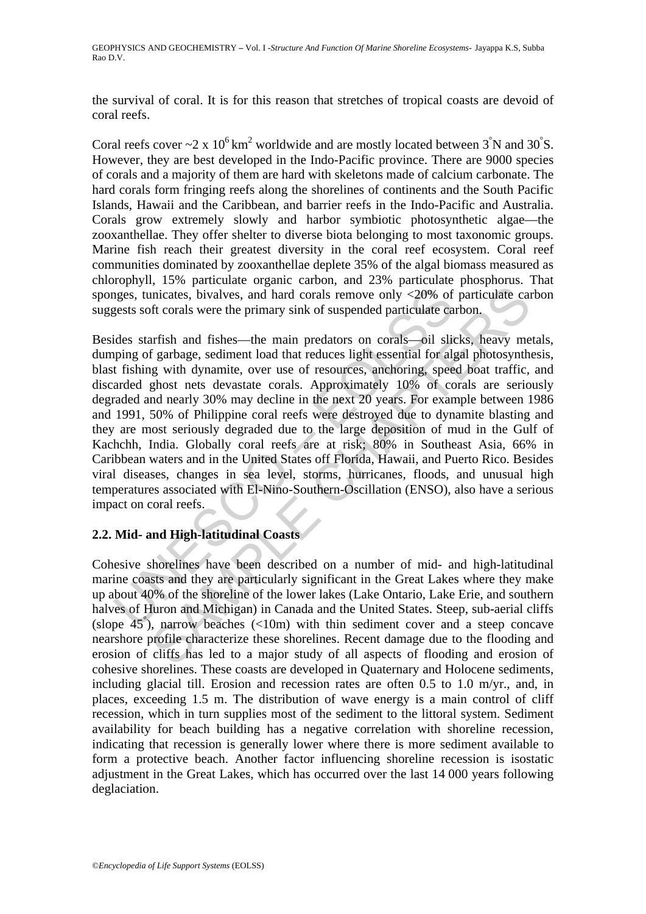the survival of coral. It is for this reason that stretches of tropical coasts are devoid of coral reefs.

Coral reefs cover  $\sim$  2 x 10<sup>6</sup> km<sup>2</sup> worldwide and are mostly located between 3<sup>°</sup>N and 30<sup>°</sup>S. However, they are best developed in the Indo-Pacific province. There are 9000 species of corals and a majority of them are hard with skeletons made of calcium carbonate. The hard corals form fringing reefs along the shorelines of continents and the South Pacific Islands, Hawaii and the Caribbean, and barrier reefs in the Indo-Pacific and Australia. Corals grow extremely slowly and harbor symbiotic photosynthetic algae—the zooxanthellae. They offer shelter to diverse biota belonging to most taxonomic groups. Marine fish reach their greatest diversity in the coral reef ecosystem. Coral reef communities dominated by zooxanthellae deplete 35% of the algal biomass measured as chlorophyll, 15% particulate organic carbon, and 23% particulate phosphorus. That sponges, tunicates, bivalves, and hard corals remove only <20% of particulate carbon suggests soft corals were the primary sink of suspended particulate carbon.

ges, tunicates, bivalves, and hard corals remove only <20% of<br>gests soft corals were the primary sink of suspended particulate ca<br>ides starfish and fishes—the main predators on corals—oil slip<br>ing of garbage, sediment loa inicates, bivalves, and hard corals remove only <20% of particulate can<br>inicates, bivalves, and hard corals remove only <20% of particulate can<br>fit corals were the primary sink of suspended particulate carbon.<br>arfish and f Besides starfish and fishes—the main predators on corals—oil slicks, heavy metals, dumping of garbage, sediment load that reduces light essential for algal photosynthesis, blast fishing with dynamite, over use of resources, anchoring, speed boat traffic, and discarded ghost nets devastate corals. Approximately 10% of corals are seriously degraded and nearly 30% may decline in the next 20 years. For example between 1986 and 1991, 50% of Philippine coral reefs were destroyed due to dynamite blasting and they are most seriously degraded due to the large deposition of mud in the Gulf of Kachchh, India. Globally coral reefs are at risk; 80% in Southeast Asia, 66% in Caribbean waters and in the United States off Florida, Hawaii, and Puerto Rico. Besides viral diseases, changes in sea level, storms, hurricanes, floods, and unusual high temperatures associated with El-Nino-Southern-Oscillation (ENSO), also have a serious impact on coral reefs.

## **2.2. Mid- and High-latitudinal Coasts**

Cohesive shorelines have been described on a number of mid- and high-latitudinal marine coasts and they are particularly significant in the Great Lakes where they make up about 40% of the shoreline of the lower lakes (Lake Ontario, Lake Erie, and southern halves of Huron and Michigan) in Canada and the United States. Steep, sub-aerial cliffs (slope 45° ), narrow beaches (<10m) with thin sediment cover and a steep concave nearshore profile characterize these shorelines. Recent damage due to the flooding and erosion of cliffs has led to a major study of all aspects of flooding and erosion of cohesive shorelines. These coasts are developed in Quaternary and Holocene sediments, including glacial till. Erosion and recession rates are often 0.5 to 1.0 m/yr., and, in places, exceeding 1.5 m. The distribution of wave energy is a main control of cliff recession, which in turn supplies most of the sediment to the littoral system. Sediment availability for beach building has a negative correlation with shoreline recession, indicating that recession is generally lower where there is more sediment available to form a protective beach. Another factor influencing shoreline recession is isostatic adjustment in the Great Lakes, which has occurred over the last 14 000 years following deglaciation.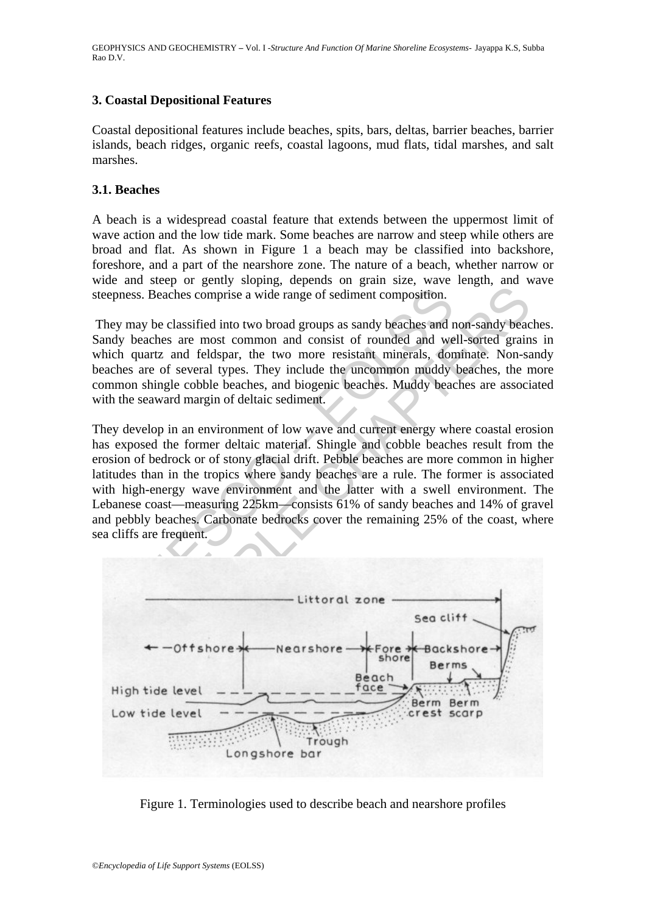## **3. Coastal Depositional Features**

Coastal depositional features include beaches, spits, bars, deltas, barrier beaches, barrier islands, beach ridges, organic reefs, coastal lagoons, mud flats, tidal marshes, and salt marshes.

## **3.1. Beaches**

A beach is a widespread coastal feature that extends between the uppermost limit of wave action and the low tide mark. Some beaches are narrow and steep while others are broad and flat. As shown in Figure 1 a beach may be classified into backshore, foreshore, and a part of the nearshore zone. The nature of a beach, whether narrow or wide and steep or gently sloping, depends on grain size, wave length, and wave steepness. Beaches comprise a wide range of sediment composition.

 They may be classified into two broad groups as sandy beaches and non-sandy beaches. Sandy beaches are most common and consist of rounded and well-sorted grains in which quartz and feldspar, the two more resistant minerals, dominate. Non-sandy beaches are of several types. They include the uncommon muddy beaches, the more common shingle cobble beaches, and biogenic beaches. Muddy beaches are associated with the seaward margin of deltaic sediment.

press. Beaches comprise a wide range of sediment composition.<br>
Expansion and a most common and consist of rounded and we<br>
dy beaches are most common and consist of rounded and we<br>
che quartz and feldspar, the two more resi Beaches comprise a wide range of sediment composition.<br>
Beaches comprise a wide range of sediment composition.<br>
be classified into two broad groups as sandy beaches and non-sandy beaches are most common and consist of roun They develop in an environment of low wave and current energy where coastal erosion has exposed the former deltaic material. Shingle and cobble beaches result from the erosion of bedrock or of stony glacial drift. Pebble beaches are more common in higher latitudes than in the tropics where sandy beaches are a rule. The former is associated with high-energy wave environment and the latter with a swell environment. The Lebanese coast—measuring 225km—consists 61% of sandy beaches and 14% of gravel and pebbly beaches. Carbonate bedrocks cover the remaining 25% of the coast, where sea cliffs are frequent.



Figure 1. Terminologies used to describe beach and nearshore profiles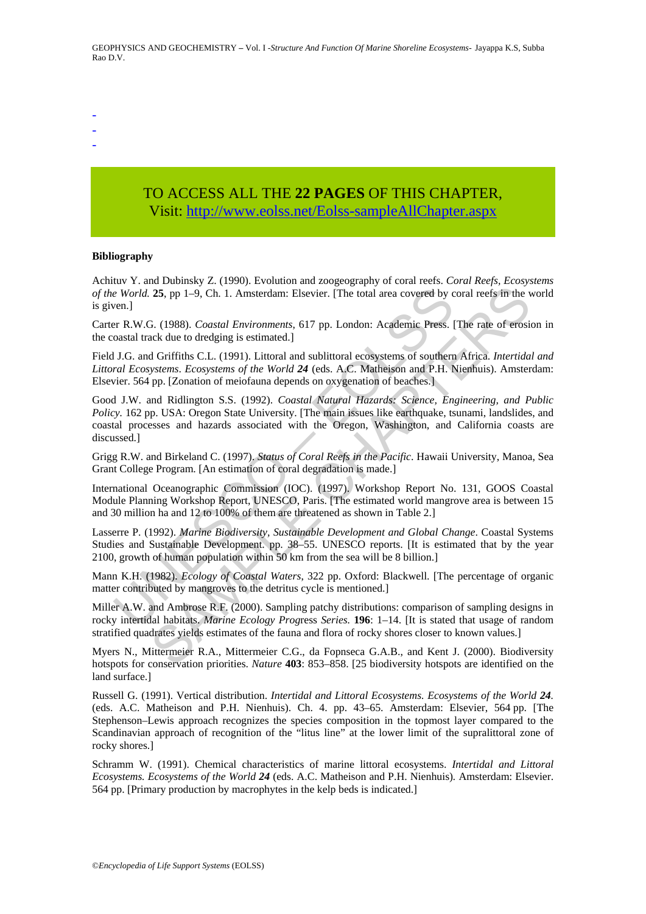-

- -

## TO ACCESS ALL THE **22 PAGES** OF THIS CHAPTER, Visit: [http://www.eolss.net/Eolss-sampleAllChapter.aspx](https://www.eolss.net/ebooklib/sc_cart.aspx?File=E6-16-02-06)

#### **Bibliography**

Achituv Y. and Dubinsky Z. (1990). Evolution and zoogeography of coral reefs. *Coral Reefs, Ecosystems of the World.* **25**, pp 1–9, Ch. 1. Amsterdam: Elsevier. [The total area covered by coral reefs in the world is given.]

Carter R.W.G. (1988). *Coastal Environments*, 617 pp. London: Academic Press. [The rate of erosion in the coastal track due to dredging is estimated.]

Field J.G. and Griffiths C.L. (1991). Littoral and sublittoral ecosystems of southern Africa. *Intertidal and Littoral Ecosystems*. *Ecosystems of the World 24* (eds. A.C. Matheison and P.H. Nienhuis). Amsterdam: Elsevier. 564 pp. [Zonation of meiofauna depends on oxygenation of beaches.]

e World. 25, pp 1–9, Ch. 1. Amsterdam: Elsevier. [The total area covered by con-1<br>
ern.]<br>
Yern R.W.G. (1988). *Coastal Environments*, 617 pp. London: Academic Press.<br>
noastal track due to dredging is estimated.]<br>
U.S.c. an **25.** pp 1–9, Ch. 1. Amsterdam: Elsevier. [The total area covered by coral reels fin the v<br>**25.** pp 1–9, Ch. 1. Amsterdam: Elsevier. [The total area covered by coral reels fin the v<br>3. (1988). *Coastal Environments*, 617 Good J.W. and Ridlington S.S. (1992). *Coastal Natural Hazards: Science, Engineering, and Public Policy.* 162 pp. USA: Oregon State University. [The main issues like earthquake, tsunami, landslides, and coastal processes and hazards associated with the Oregon, Washington, and California coasts are discussed.]

Grigg R.W. and Birkeland C. (1997). *Status of Coral Reefs in the Pacific*. Hawaii University, Manoa, Sea Grant College Program. [An estimation of coral degradation is made.]

International Oceanographic Commission (IOC). (1997). Workshop Report No. 131, GOOS Coastal Module Planning Workshop Report, UNESCO, Paris. [The estimated world mangrove area is between 15 and 30 million ha and 12 to 100% of them are threatened as shown in Table 2.]

Lasserre P. (1992). *Marine Biodiversity, Sustainable Development and Global Change*. Coastal Systems Studies and Sustainable Development. pp. 38–55. UNESCO reports. [It is estimated that by the year 2100, growth of human population within 50 km from the sea will be 8 billion.]

Mann K.H. (1982). *Ecology of Coastal Waters*, 322 pp. Oxford: Blackwell. [The percentage of organic matter contributed by mangroves to the detritus cycle is mentioned.]

Miller A.W. and Ambrose R.F. (2000). Sampling patchy distributions: comparison of sampling designs in rocky intertidal habitats. *Marine Ecology Prog*ress *Series.* **196**: 1–14. [It is stated that usage of random stratified quadrates yields estimates of the fauna and flora of rocky shores closer to known values.]

Myers N., Mittermeier R.A., Mittermeier C.G., da Fopnseca G.A.B., and Kent J. (2000). Biodiversity hotspots for conservation priorities. *Nature* **403**: 853–858. [25 biodiversity hotspots are identified on the land surface.]

Russell G. (1991). Vertical distribution. *Intertidal and Littoral Ecosystems. Ecosystems of the World 24.* (eds. A.C. Matheison and P.H. Nienhuis). Ch. 4. pp. 43–65. Amsterdam: Elsevier, 564 pp. [The Stephenson–Lewis approach recognizes the species composition in the topmost layer compared to the Scandinavian approach of recognition of the "litus line" at the lower limit of the supralittoral zone of rocky shores.]

Schramm W. (1991). Chemical characteristics of marine littoral ecosystems. *Intertidal and Littoral Ecosystems. Ecosystems of the World 24* (eds. A.C. Matheison and P.H. Nienhuis)*.* Amsterdam: Elsevier. 564 pp. [Primary production by macrophytes in the kelp beds is indicated.]